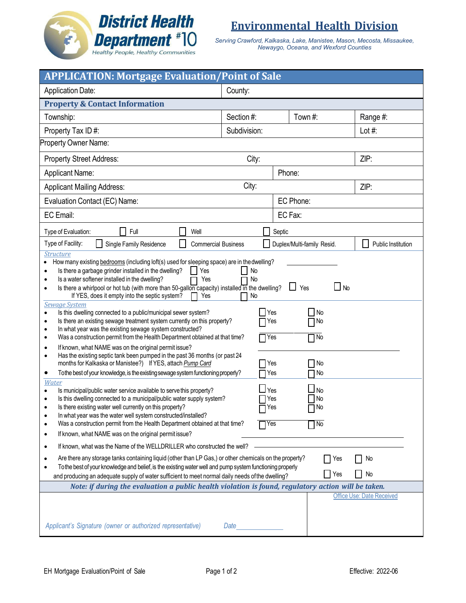

**Environmental Health Division**

*Serving Crawford, Kalkaska, Lake, Manistee, Mason, Mecosta, Missaukee, Newaygo, Oceana, and Wexford Counties*

| <b>APPLICATION: Mortgage Evaluation/Point of Sale</b>                                                                                                                                                                                                                                                                                                                                                                                                                                                                                                                                                                                                                                                                                                                                                                                                                                                                                                                                                                                                                                                                                                                                                                                                                                                                                                                                                                                                                                                                                                                                                                                                                                                                                                                                                                                                                                                                                                                                                                                                  |                                                                                                                        |                                                                                                                                                                |                                              |  |  |
|--------------------------------------------------------------------------------------------------------------------------------------------------------------------------------------------------------------------------------------------------------------------------------------------------------------------------------------------------------------------------------------------------------------------------------------------------------------------------------------------------------------------------------------------------------------------------------------------------------------------------------------------------------------------------------------------------------------------------------------------------------------------------------------------------------------------------------------------------------------------------------------------------------------------------------------------------------------------------------------------------------------------------------------------------------------------------------------------------------------------------------------------------------------------------------------------------------------------------------------------------------------------------------------------------------------------------------------------------------------------------------------------------------------------------------------------------------------------------------------------------------------------------------------------------------------------------------------------------------------------------------------------------------------------------------------------------------------------------------------------------------------------------------------------------------------------------------------------------------------------------------------------------------------------------------------------------------------------------------------------------------------------------------------------------------|------------------------------------------------------------------------------------------------------------------------|----------------------------------------------------------------------------------------------------------------------------------------------------------------|----------------------------------------------|--|--|
| <b>Application Date:</b>                                                                                                                                                                                                                                                                                                                                                                                                                                                                                                                                                                                                                                                                                                                                                                                                                                                                                                                                                                                                                                                                                                                                                                                                                                                                                                                                                                                                                                                                                                                                                                                                                                                                                                                                                                                                                                                                                                                                                                                                                               | County:                                                                                                                |                                                                                                                                                                |                                              |  |  |
| <b>Property &amp; Contact Information</b>                                                                                                                                                                                                                                                                                                                                                                                                                                                                                                                                                                                                                                                                                                                                                                                                                                                                                                                                                                                                                                                                                                                                                                                                                                                                                                                                                                                                                                                                                                                                                                                                                                                                                                                                                                                                                                                                                                                                                                                                              |                                                                                                                        |                                                                                                                                                                |                                              |  |  |
| Township:                                                                                                                                                                                                                                                                                                                                                                                                                                                                                                                                                                                                                                                                                                                                                                                                                                                                                                                                                                                                                                                                                                                                                                                                                                                                                                                                                                                                                                                                                                                                                                                                                                                                                                                                                                                                                                                                                                                                                                                                                                              | Section #:                                                                                                             | Town #:                                                                                                                                                        | Range #:                                     |  |  |
| Property Tax ID#:                                                                                                                                                                                                                                                                                                                                                                                                                                                                                                                                                                                                                                                                                                                                                                                                                                                                                                                                                                                                                                                                                                                                                                                                                                                                                                                                                                                                                                                                                                                                                                                                                                                                                                                                                                                                                                                                                                                                                                                                                                      | Subdivision:                                                                                                           |                                                                                                                                                                | Lot $#$ :                                    |  |  |
| Property Owner Name:                                                                                                                                                                                                                                                                                                                                                                                                                                                                                                                                                                                                                                                                                                                                                                                                                                                                                                                                                                                                                                                                                                                                                                                                                                                                                                                                                                                                                                                                                                                                                                                                                                                                                                                                                                                                                                                                                                                                                                                                                                   |                                                                                                                        |                                                                                                                                                                |                                              |  |  |
| City:<br><b>Property Street Address:</b>                                                                                                                                                                                                                                                                                                                                                                                                                                                                                                                                                                                                                                                                                                                                                                                                                                                                                                                                                                                                                                                                                                                                                                                                                                                                                                                                                                                                                                                                                                                                                                                                                                                                                                                                                                                                                                                                                                                                                                                                               |                                                                                                                        |                                                                                                                                                                | ZIP:                                         |  |  |
| Phone:<br><b>Applicant Name:</b>                                                                                                                                                                                                                                                                                                                                                                                                                                                                                                                                                                                                                                                                                                                                                                                                                                                                                                                                                                                                                                                                                                                                                                                                                                                                                                                                                                                                                                                                                                                                                                                                                                                                                                                                                                                                                                                                                                                                                                                                                       |                                                                                                                        |                                                                                                                                                                |                                              |  |  |
| City:<br><b>Applicant Mailing Address:</b>                                                                                                                                                                                                                                                                                                                                                                                                                                                                                                                                                                                                                                                                                                                                                                                                                                                                                                                                                                                                                                                                                                                                                                                                                                                                                                                                                                                                                                                                                                                                                                                                                                                                                                                                                                                                                                                                                                                                                                                                             |                                                                                                                        |                                                                                                                                                                | ZIP:                                         |  |  |
| Evaluation Contact (EC) Name:                                                                                                                                                                                                                                                                                                                                                                                                                                                                                                                                                                                                                                                                                                                                                                                                                                                                                                                                                                                                                                                                                                                                                                                                                                                                                                                                                                                                                                                                                                                                                                                                                                                                                                                                                                                                                                                                                                                                                                                                                          |                                                                                                                        | EC Phone:                                                                                                                                                      |                                              |  |  |
| EC Email:                                                                                                                                                                                                                                                                                                                                                                                                                                                                                                                                                                                                                                                                                                                                                                                                                                                                                                                                                                                                                                                                                                                                                                                                                                                                                                                                                                                                                                                                                                                                                                                                                                                                                                                                                                                                                                                                                                                                                                                                                                              |                                                                                                                        | EC Fax:                                                                                                                                                        |                                              |  |  |
| Full<br>Type of Evaluation:<br>Well<br>Septic                                                                                                                                                                                                                                                                                                                                                                                                                                                                                                                                                                                                                                                                                                                                                                                                                                                                                                                                                                                                                                                                                                                                                                                                                                                                                                                                                                                                                                                                                                                                                                                                                                                                                                                                                                                                                                                                                                                                                                                                          |                                                                                                                        |                                                                                                                                                                |                                              |  |  |
| Type of Facility:<br>Single Family Residence<br><b>Commercial Business</b><br>$\mathsf{L}$                                                                                                                                                                                                                                                                                                                                                                                                                                                                                                                                                                                                                                                                                                                                                                                                                                                                                                                                                                                                                                                                                                                                                                                                                                                                                                                                                                                                                                                                                                                                                                                                                                                                                                                                                                                                                                                                                                                                                             |                                                                                                                        | Duplex/Multi-family Resid.                                                                                                                                     | Public Institution                           |  |  |
| <b>Structure</b><br>How many existing bedrooms (including loft(s) used for sleeping space) are in the dwelling?<br>Is there a garbage grinder installed in the dwelling?<br>Yes<br>Is a water softener installed in the dwelling?<br>Yes<br>$\bullet$<br>Is there a whirlpool or hot tub (with more than 50-gallon capacity) installed in the dwelling?<br>٠<br>If YES, does it empty into the septic system?<br>Yes<br><b>Sewage System</b><br>Is this dwelling connected to a public/municipal sewer system?<br>$\bullet$<br>Is there an existing sewage treatment system currently on this property?<br>$\bullet$<br>In what year was the existing sewage system constructed?<br>٠<br>Was a construction permit from the Health Department obtained at that time?<br>٠<br>If known, what NAME was on the original permit issue?<br>$\bullet$<br>Has the existing septic tank been pumped in the past 36 months (or past 24<br>٠<br>months for Kalkaska or Manistee?) If YES, attach Pump Card<br>To the best of your knowledge, is the existing sewage system functioning properly?<br>٠<br>Water<br>Is municipal/public water service available to serve this property?<br>Is this dwelling connected to a municipal/public water supply system?<br>Is there existing water well currently on this property?<br>In what year was the water well system constructed/installed?<br>Was a construction permit from the Health Department obtained at that time?<br>If known, what NAME was on the original permit issue?<br>٠<br>If known, what was the Name of the WELLDRILLER who constructed the well?<br>٠<br>Are there any storage tanks containing liquid (other than LP Gas,) or other chemicals on the property?<br>٠<br>To the best of your knowledge and belief, is the existing water well and pump system functioning properly<br>and producing an adequate supply of water sufficient to meet normal daily needs of the dwelling?<br>Note: if during the evaluation a public health violation is found, regulatory action will be taken. | No<br><b>No</b><br>No<br><b>Yes</b><br>Yes<br>$\bigcap$ Yes<br>7 Yes<br>Yes<br>⊿Yes<br>Yes<br>$\Box$ Yes<br>$\Box$ Yes | $\Box$ No<br>$\Box$<br>Yes<br>No<br>1 No<br>$\overline{\Box}$ No<br>No<br>No<br><b>No</b><br><b>No</b><br>$\Box$ No<br>$\overline{\mathsf{N}}$ o<br>Yes<br>Yes | No<br>No<br><b>Office Use: Date Received</b> |  |  |